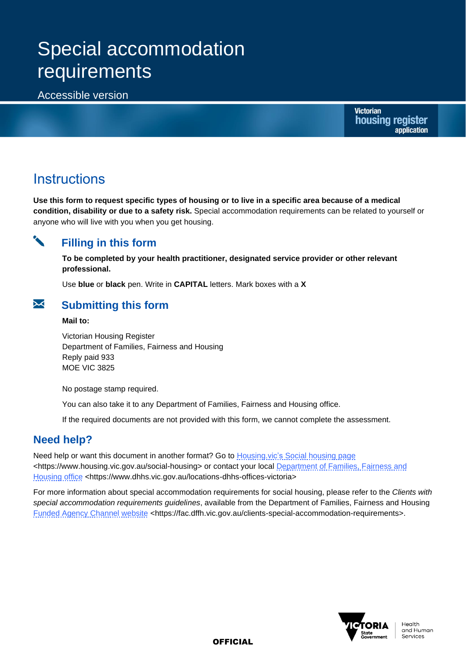# Special accommodation requirements

### Accessible version

**Victorian** housing register application

## **Instructions**

**Use this form to request specific types of housing or to live in a specific area because of a medical condition, disability or due to a safety risk.** Special accommodation requirements can be related to yourself or anyone who will live with you when you get housing.

### **Filling in this form**

**To be completed by your health practitioner, designated service provider or other relevant professional.**

Use **blue** or **black** pen. Write in **CAPITAL** letters. Mark boxes with a **X**



#### **Mail to:**

Victorian Housing Register Department of Families, Fairness and Housing Reply paid 933 MOE VIC 3825

No postage stamp required.

You can also take it to any Department of Families, Fairness and Housing office.

If the required documents are not provided with this form, we cannot complete the assessment.

## **Need help?**

Need help or want this document in another format? Go to **Housing.vic's [Social housing page](https://www.housing.vic.gov.au/social-housing)** <https://www.housing.vic.gov.au/social-housing> or contact your local Department of Families, Fairness and [Housing](https://www.dhhs.vic.gov.au/locations-dhhs-offices-victoria) office <https://www.dhhs.vic.gov.au/locations-dhhs-offices-victoria>

For more information about special accommodation requirements for social housing, please refer to the *Clients with special accommodation requirements guidelines*, available from the Department of Families, Fairness and Housing [Funded Agency Channel website](https://fac.dffh.vic.gov.au/clients-special-accommodation-requirements) <https://fac.dffh.vic.gov.au/clients-special-accommodation-requirements>.



**OFFICIAL**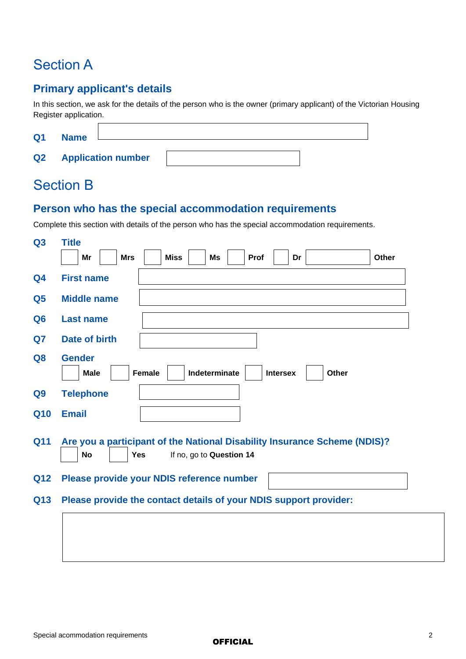## Section A

## **Primary applicant's details**

In this section, we ask for the details of the person who is the owner (primary applicant) of the Victorian Housing Register application.

| Q <sub>1</sub> | <b>Name</b>               |  |
|----------------|---------------------------|--|
| Q <sub>2</sub> | <b>Application number</b> |  |

## Section B

### **Person who has the special accommodation requirements**

Complete this section with details of the person who has the special accommodation requirements.

| Q3             | <b>Title</b>                                                                                                                     |
|----------------|----------------------------------------------------------------------------------------------------------------------------------|
|                | Mr<br><b>Mrs</b><br><b>Miss</b><br><b>Ms</b><br><b>Prof</b><br>Dr<br><b>Other</b>                                                |
| Q <sub>4</sub> | <b>First name</b>                                                                                                                |
| Q <sub>5</sub> | <b>Middle name</b>                                                                                                               |
| Q <sub>6</sub> | <b>Last name</b>                                                                                                                 |
| Q7             | Date of birth                                                                                                                    |
| Q <sub>8</sub> | <b>Gender</b><br><b>Female</b><br>Indeterminate<br><b>Intersex</b><br>Other<br><b>Male</b>                                       |
| Q9             | <b>Telephone</b>                                                                                                                 |
| <b>Q10</b>     | <b>Email</b>                                                                                                                     |
| <b>Q11</b>     | Are you a participant of the National Disability Insurance Scheme (NDIS)?<br>If no, go to Question 14<br><b>Yes</b><br><b>No</b> |
| <b>Q12</b>     | Please provide your NDIS reference number                                                                                        |
| Q13            | Please provide the contact details of your NDIS support provider:                                                                |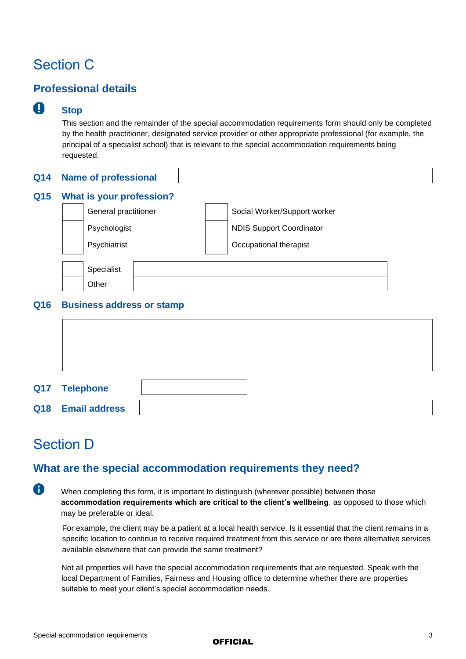## Section C

## **Professional details**

#### $\mathbf{T}$ **Stop**

This section and the remainder of the special accommodation requirements form should only be completed by the health practitioner, designated service provider or other appropriate professional (for example, the principal of a specialist school) that is relevant to the special accommodation requirements being requested.

| <b>Q15</b> | What is your profession?         |                                 |  |  |  |  |  |  |
|------------|----------------------------------|---------------------------------|--|--|--|--|--|--|
|            | General practitioner             | Social Worker/Support worker    |  |  |  |  |  |  |
|            | Psychologist                     | <b>NDIS Support Coordinator</b> |  |  |  |  |  |  |
|            | Psychiatrist                     | Occupational therapist          |  |  |  |  |  |  |
|            | Specialist                       |                                 |  |  |  |  |  |  |
|            | Other                            |                                 |  |  |  |  |  |  |
| <b>Q16</b> | <b>Business address or stamp</b> |                                 |  |  |  |  |  |  |
|            |                                  |                                 |  |  |  |  |  |  |
|            |                                  |                                 |  |  |  |  |  |  |

| Q17 Telephone     |  |
|-------------------|--|
| Q18 Email address |  |

## Section D

 $\bullet$ 

## **What are the special accommodation requirements they need?**

When completing this form, it is important to distinguish (wherever possible) between those **accommodation requirements which are critical to the client's wellbeing**, as opposed to those which may be preferable or ideal.

For example, the client may be a patient at a local health service. Is it essential that the client remains in a specific location to continue to receive required treatment from this service or are there alternative services available elsewhere that can provide the same treatment?

Not all properties will have the special accommodation requirements that are requested. Speak with the local Department of Families, Fairness and Housing office to determine whether there are properties suitable to meet your client's special accommodation needs.

#### **OFFICIAL**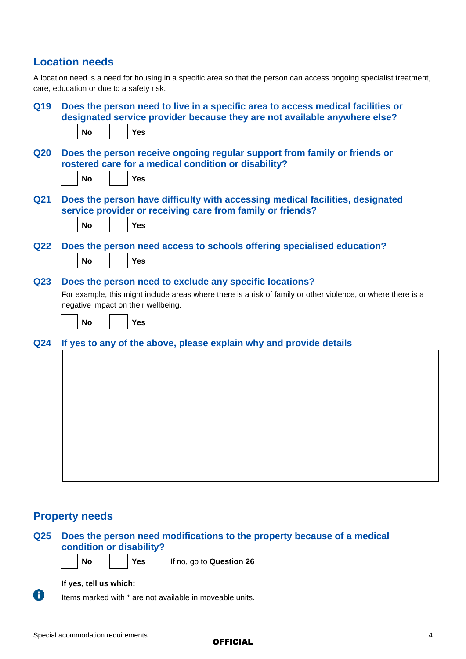### **Location needs**

A location need is a need for housing in a specific area so that the person can access ongoing specialist treatment, care, education or due to a safety risk.

|                                                                                                                                                            |           |  | Does the person need to live in a specific area to access medical facilities or<br>designated service provider because they are not available anywhere else? |  |
|------------------------------------------------------------------------------------------------------------------------------------------------------------|-----------|--|--------------------------------------------------------------------------------------------------------------------------------------------------------------|--|
|                                                                                                                                                            | <b>No</b> |  | Yes                                                                                                                                                          |  |
|                                                                                                                                                            |           |  | Does the person receive ongoing regular support from family or friends or<br>rostered care for a medical condition or disability?                            |  |
|                                                                                                                                                            | <b>No</b> |  | <b>Yes</b>                                                                                                                                                   |  |
|                                                                                                                                                            |           |  | Does the person have difficulty with accessing medical facilities, designated<br>service provider or receiving care from family or friends?                  |  |
|                                                                                                                                                            | <b>No</b> |  | <b>Yes</b>                                                                                                                                                   |  |
|                                                                                                                                                            | <b>No</b> |  | Does the person need access to schools offering specialised education?<br><b>Yes</b>                                                                         |  |
|                                                                                                                                                            |           |  | Does the person need to exclude any specific locations?                                                                                                      |  |
| Q23<br>For example, this might include areas where there is a risk of family or other violence, or where there is a<br>negative impact on their wellbeing. |           |  |                                                                                                                                                              |  |
|                                                                                                                                                            | <b>No</b> |  | Yes                                                                                                                                                          |  |
|                                                                                                                                                            |           |  | If yes to any of the above, please explain why and provide details                                                                                           |  |
|                                                                                                                                                            |           |  |                                                                                                                                                              |  |
|                                                                                                                                                            |           |  |                                                                                                                                                              |  |
|                                                                                                                                                            |           |  |                                                                                                                                                              |  |
|                                                                                                                                                            |           |  |                                                                                                                                                              |  |
|                                                                                                                                                            |           |  |                                                                                                                                                              |  |
|                                                                                                                                                            |           |  |                                                                                                                                                              |  |
|                                                                                                                                                            |           |  |                                                                                                                                                              |  |
|                                                                                                                                                            |           |  |                                                                                                                                                              |  |

### **Property needs**



 $\bullet$ 

Items marked with \* are not available in moveable units.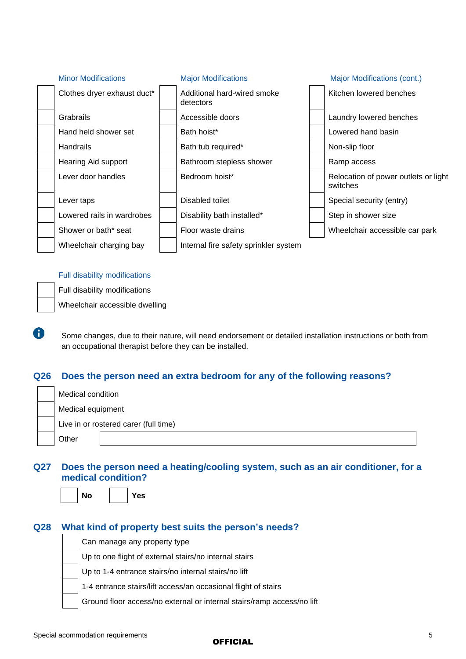

#### Full disability modifications



 $\bigcap$ 

Some changes, due to their nature, will need endorsement or detailed installation instructions or both from an occupational therapist before they can be installed.

### **Q26 Does the person need an extra bedroom for any of the following reasons?**

| Medical condition |                                       |  |  |  |  |
|-------------------|---------------------------------------|--|--|--|--|
| Medical equipment |                                       |  |  |  |  |
|                   | Live in or rostered carer (full time) |  |  |  |  |
| Other             |                                       |  |  |  |  |

### **Q27 Does the person need a heating/cooling system, such as an air conditioner, for a medical condition?**

| í. |
|----|
|----|

**No Yes**

### **Q28 What kind of property best suits the person's needs?**

Can manage any property type Up to one flight of external stairs/no internal stairs Up to 1-4 entrance stairs/no internal stairs/no lift 1-4 entrance stairs/lift access/an occasional flight of stairs Ground floor access/no external or internal stairs/ramp access/no lift

#### **OFFICIAL**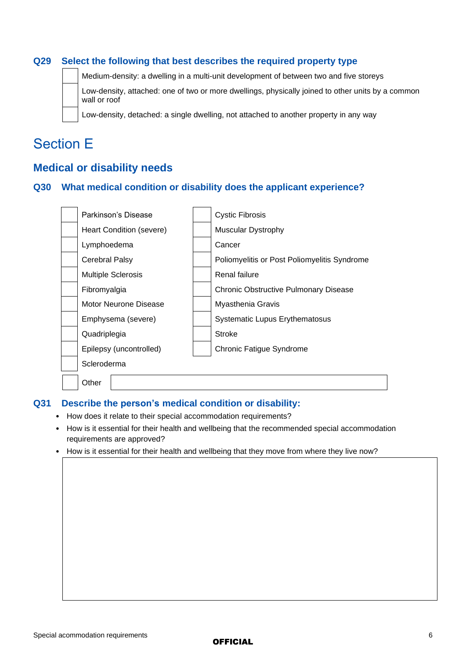### **Q29 Select the following that best describes the required property type**

Medium-density: a dwelling in a multi-unit development of between two and five storeys

Low-density, attached: one of two or more dwellings, physically joined to other units by a common wall or roof

Low-density, detached: a single dwelling, not attached to another property in any way

## Section E

### **Medical or disability needs**

#### **Q30 What medical condition or disability does the applicant experience?**

| Parkinson's Disease       | Cystic Fibrosis                              |
|---------------------------|----------------------------------------------|
| Heart Condition (severe)  | <b>Muscular Dystrophy</b>                    |
| Lymphoedema               | Cancer                                       |
| <b>Cerebral Palsy</b>     | Poliomyelitis or Post Poliomyelitis Syndrome |
| <b>Multiple Sclerosis</b> | Renal failure                                |
| Fibromyalgia              | <b>Chronic Obstructive Pulmonary Disease</b> |
| Motor Neurone Disease     | Myasthenia Gravis                            |
| Emphysema (severe)        | <b>Systematic Lupus Erythematosus</b>        |
| Quadriplegia              | <b>Stroke</b>                                |
| Epilepsy (uncontrolled)   | <b>Chronic Fatigue Syndrome</b>              |
| Scleroderma               |                                              |
| Other                     |                                              |

#### **Q31 Describe the person's medical condition or disability:**

- How does it relate to their special accommodation requirements?
- How is it essential for their health and wellbeing that the recommended special accommodation requirements are approved?
- How is it essential for their health and wellbeing that they move from where they live now?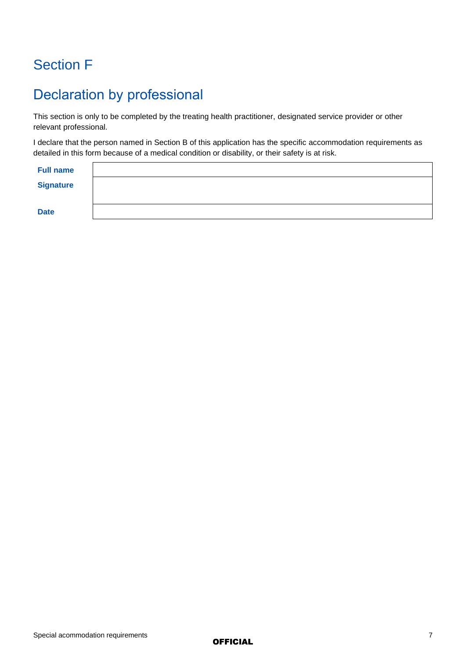## Section F

## Declaration by professional

This section is only to be completed by the treating health practitioner, designated service provider or other relevant professional.

I declare that the person named in Section B of this application has the specific accommodation requirements as detailed in this form because of a medical condition or disability, or their safety is at risk.

| <b>Full name</b> |  |
|------------------|--|
| <b>Signature</b> |  |
|                  |  |
| <b>Date</b>      |  |